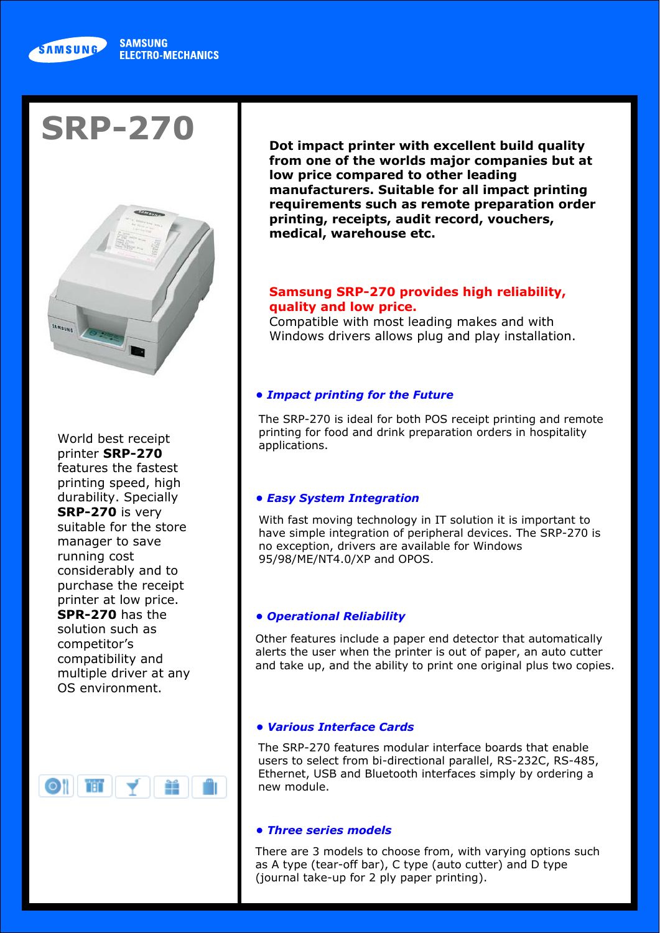## *• Easy System Integration*

With fast moving technology in IT solution it is important to have simple integration of peripheral devices. The SRP-270 is no exception, drivers are available for Windows 95/98/ME/NT4.0/XP and OPOS.



# **SRP-270**



World best receipt printer **SRP-270** features the fastest printing speed, high durability. Specially **SRP-270** is very suitable for the store manager to save running cost considerably and to purchase the receipt printer at low price. **SPR-270** has the solution such as competitor's compatibility and multiple driver at any OS environment.

**Dot impact printer with excellent build quality from one of the worlds major companies but at low price compared to other leading manufacturers. Suitable for all impact printing requirements such as remote preparation order printing, receipts, audit record, vouchers, medical, warehouse etc.**

# **Samsung SRP-270 provides high reliability, quality and low price.**

Compatible with most leading makes and with Windows drivers allows plug and play installation.

#### *• Various Interface Cards*

The SRP-270 features modular interface boards that enable users to select from bi-directional parallel, RS-232C, RS-485, Ethernet, USB and Bluetooth interfaces simply by ordering a new module.

## *• Impact printing for the Future*

The SRP-270 is ideal for both POS receipt printing and remote printing for food and drink preparation orders in hospitality applications.

## *• Operational Reliability*

Other features include a paper end detector that automatically alerts the user when the printer is out of paper, an auto cutter and take up, and the ability to print one original plus two copies.



There are 3 models to choose from, with varying options such as A type (tear-off bar), C type (auto cutter) and D type (journal take-up for 2 ply paper printing).

#### *• Three series models*